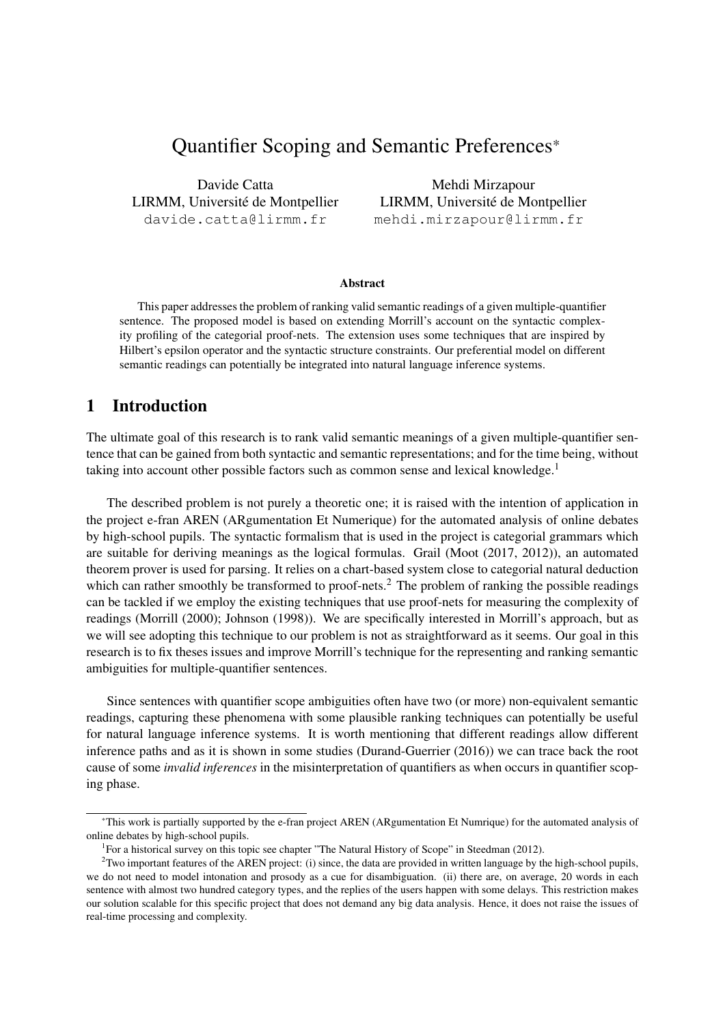# Quantifier Scoping and Semantic Preferences\*

Davide Catta LIRMM, Université de Montpellier davide.catta@lirmm.fr

Mehdi Mirzapour LIRMM, Université de Montpellier mehdi.mirzapour@lirmm.fr

#### Abstract

This paper addresses the problem of ranking valid semantic readings of a given multiple-quantifier sentence. The proposed model is based on extending Morrill's account on the syntactic complexity profiling of the categorial proof-nets. The extension uses some techniques that are inspired by Hilbert's epsilon operator and the syntactic structure constraints. Our preferential model on different semantic readings can potentially be integrated into natural language inference systems.

# 1 Introduction

The ultimate goal of this research is to rank valid semantic meanings of a given multiple-quantifier sentence that can be gained from both syntactic and semantic representations; and for the time being, without taking into account other possible factors such as common sense and lexical knowledge.<sup>1</sup>

The described problem is not purely a theoretic one; it is raised with the intention of application in the project e-fran AREN (ARgumentation Et Numerique) for the automated analysis of online debates by high-school pupils. The syntactic formalism that is used in the project is categorial grammars which are suitable for deriving meanings as the logical formulas. Grail (Moot (2017, 2012)), an automated theorem prover is used for parsing. It relies on a chart-based system close to categorial natural deduction which can rather smoothly be transformed to proof-nets.<sup>2</sup> The problem of ranking the possible readings can be tackled if we employ the existing techniques that use proof-nets for measuring the complexity of readings (Morrill (2000); Johnson (1998)). We are specifically interested in Morrill's approach, but as we will see adopting this technique to our problem is not as straightforward as it seems. Our goal in this research is to fix theses issues and improve Morrill's technique for the representing and ranking semantic ambiguities for multiple-quantifier sentences.

Since sentences with quantifier scope ambiguities often have two (or more) non-equivalent semantic readings, capturing these phenomena with some plausible ranking techniques can potentially be useful for natural language inference systems. It is worth mentioning that different readings allow different inference paths and as it is shown in some studies (Durand-Guerrier (2016)) we can trace back the root cause of some *invalid inferences* in the misinterpretation of quantifiers as when occurs in quantifier scoping phase.

<sup>\*</sup>This work is partially supported by the e-fran project AREN (ARgumentation Et Numrique) for the automated analysis of online debates by high-school pupils.

<sup>&</sup>lt;sup>1</sup> For a historical survey on this topic see chapter "The Natural History of Scope" in Steedman (2012).

 $2$ Two important features of the AREN project: (i) since, the data are provided in written language by the high-school pupils, we do not need to model intonation and prosody as a cue for disambiguation. (ii) there are, on average, 20 words in each sentence with almost two hundred category types, and the replies of the users happen with some delays. This restriction makes our solution scalable for this specific project that does not demand any big data analysis. Hence, it does not raise the issues of real-time processing and complexity.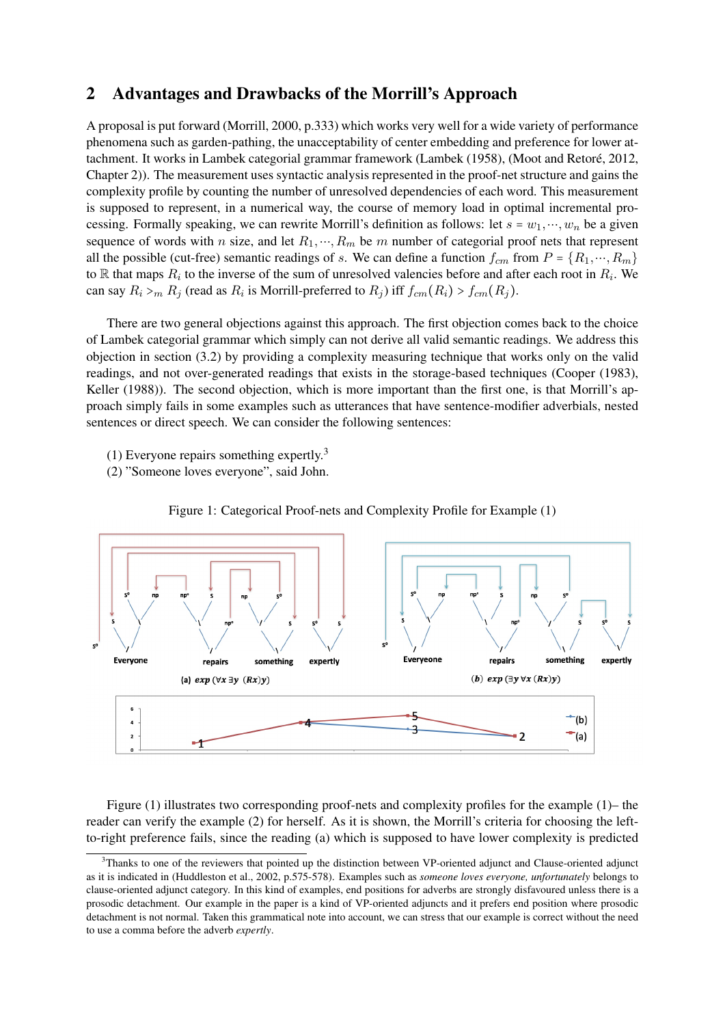# 2 Advantages and Drawbacks of the Morrill's Approach

A proposal is put forward (Morrill, 2000, p.333) which works very well for a wide variety of performance phenomena such as garden-pathing, the unacceptability of center embedding and preference for lower attachment. It works in Lambek categorial grammar framework (Lambek (1958), (Moot and Retore, 2012, ´ Chapter 2)). The measurement uses syntactic analysis represented in the proof-net structure and gains the complexity profile by counting the number of unresolved dependencies of each word. This measurement is supposed to represent, in a numerical way, the course of memory load in optimal incremental processing. Formally speaking, we can rewrite Morrill's definition as follows: let  $s = w_1, ..., w_n$  be a given sequence of words with n size, and let  $R_1, \dots, R_m$  be m number of categorial proof nets that represent all the possible (cut-free) semantic readings of s. We can define a function  $f_{cm}$  from  $P = \{R_1, \dots, R_m\}$ to  $\mathbb R$  that maps  $R_i$  to the inverse of the sum of unresolved valencies before and after each root in  $R_i$ . We can say  $R_i >_m R_j$  (read as  $R_i$  is Morrill-preferred to  $R_j$ ) iff  $f_{cm}(R_i) > f_{cm}(R_j)$ .

There are two general objections against this approach. The first objection comes back to the choice of Lambek categorial grammar which simply can not derive all valid semantic readings. We address this objection in section (3.2) by providing a complexity measuring technique that works only on the valid readings, and not over-generated readings that exists in the storage-based techniques (Cooper (1983), Keller (1988)). The second objection, which is more important than the first one, is that Morrill's approach simply fails in some examples such as utterances that have sentence-modifier adverbials, nested sentences or direct speech. We can consider the following sentences:

- (1) Everyone repairs something expertly.<sup>3</sup>
- (2) "Someone loves everyone", said John.



Figure 1: Categorical Proof-nets and Complexity Profile for Example (1)

Figure (1) illustrates two corresponding proof-nets and complexity profiles for the example (1)– the reader can verify the example (2) for herself. As it is shown, the Morrill's criteria for choosing the leftto-right preference fails, since the reading (a) which is supposed to have lower complexity is predicted

 $3$ Thanks to one of the reviewers that pointed up the distinction between VP-oriented adjunct and Clause-oriented adjunct as it is indicated in (Huddleston et al., 2002, p.575-578). Examples such as *someone loves everyone, unfortunately* belongs to clause-oriented adjunct category. In this kind of examples, end positions for adverbs are strongly disfavoured unless there is a prosodic detachment. Our example in the paper is a kind of VP-oriented adjuncts and it prefers end position where prosodic detachment is not normal. Taken this grammatical note into account, we can stress that our example is correct without the need to use a comma before the adverb *expertly*.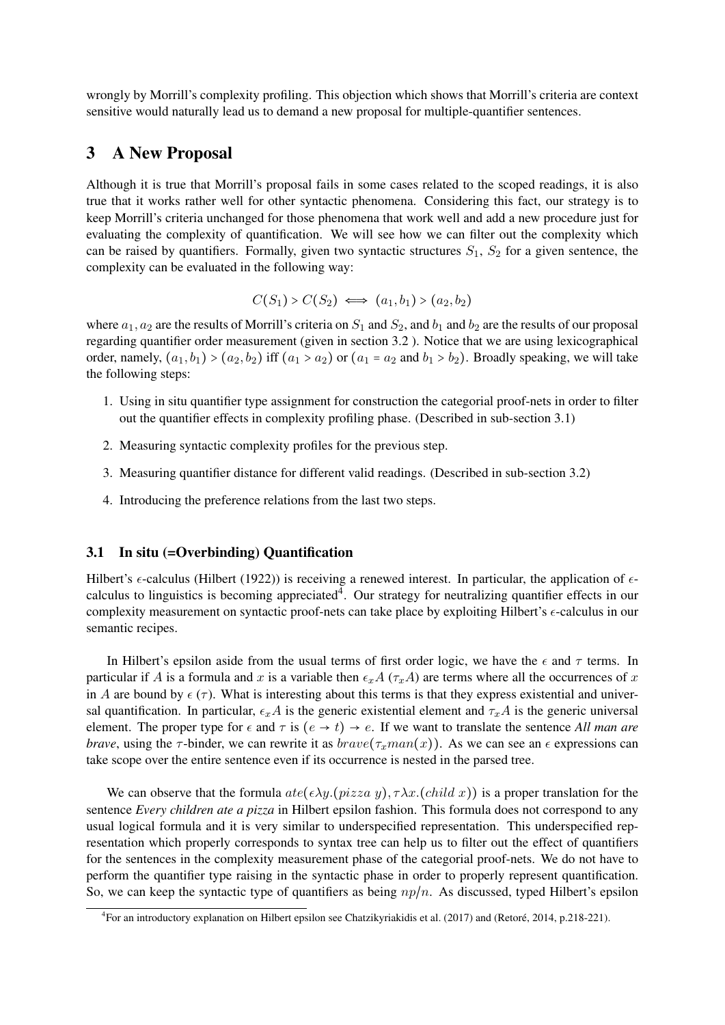wrongly by Morrill's complexity profiling. This objection which shows that Morrill's criteria are context sensitive would naturally lead us to demand a new proposal for multiple-quantifier sentences.

# 3 A New Proposal

Although it is true that Morrill's proposal fails in some cases related to the scoped readings, it is also true that it works rather well for other syntactic phenomena. Considering this fact, our strategy is to keep Morrill's criteria unchanged for those phenomena that work well and add a new procedure just for evaluating the complexity of quantification. We will see how we can filter out the complexity which can be raised by quantifiers. Formally, given two syntactic structures  $S_1$ ,  $S_2$  for a given sentence, the complexity can be evaluated in the following way:

$$
C(S_1) > C(S_2) \iff (a_1, b_1) > (a_2, b_2)
$$

where  $a_1, a_2$  are the results of Morrill's criteria on  $S_1$  and  $S_2$ , and  $b_1$  and  $b_2$  are the results of our proposal regarding quantifier order measurement (given in section 3.2 ). Notice that we are using lexicographical order, namely,  $(a_1, b_1) > (a_2, b_2)$  iff  $(a_1 > a_2)$  or  $(a_1 = a_2$  and  $b_1 > b_2$ ). Broadly speaking, we will take the following steps:

- 1. Using in situ quantifier type assignment for construction the categorial proof-nets in order to filter out the quantifier effects in complexity profiling phase. (Described in sub-section 3.1)
- 2. Measuring syntactic complexity profiles for the previous step.
- 3. Measuring quantifier distance for different valid readings. (Described in sub-section 3.2)
- 4. Introducing the preference relations from the last two steps.

#### 3.1 In situ (=Overbinding) Quantification

Hilbert's  $\epsilon$ -calculus (Hilbert (1922)) is receiving a renewed interest. In particular, the application of  $\epsilon$ calculus to linguistics is becoming appreciated<sup>4</sup>. Our strategy for neutralizing quantifier effects in our complexity measurement on syntactic proof-nets can take place by exploiting Hilbert's  $\epsilon$ -calculus in our semantic recipes.

In Hilbert's epsilon aside from the usual terms of first order logic, we have the  $\epsilon$  and  $\tau$  terms. In particular if A is a formula and x is a variable then  $\epsilon_x A$  ( $\tau_x A$ ) are terms where all the occurrences of x in A are bound by  $\epsilon(\tau)$ . What is interesting about this terms is that they express existential and universal quantification. In particular,  $\epsilon_x A$  is the generic existential element and  $\tau_x A$  is the generic universal element. The proper type for  $\epsilon$  and  $\tau$  is  $(e \to t) \to e$ . If we want to translate the sentence *All man are brave*, using the  $\tau$ -binder, we can rewrite it as  $brane(\tau_xman(x))$ . As we can see an  $\epsilon$  expressions can take scope over the entire sentence even if its occurrence is nested in the parsed tree.

We can observe that the formula  $ate(\epsilon \lambda y.(\text{pizza } y), \tau \lambda x.(\text{child } x))$  is a proper translation for the sentence *Every children ate a pizza* in Hilbert epsilon fashion. This formula does not correspond to any usual logical formula and it is very similar to underspecified representation. This underspecified representation which properly corresponds to syntax tree can help us to filter out the effect of quantifiers for the sentences in the complexity measurement phase of the categorial proof-nets. We do not have to perform the quantifier type raising in the syntactic phase in order to properly represent quantification. So, we can keep the syntactic type of quantifiers as being  $np/n$ . As discussed, typed Hilbert's epsilon

<sup>&</sup>lt;sup>4</sup> For an introductory explanation on Hilbert epsilon see Chatzikyriakidis et al. (2017) and (Retoré, 2014, p.218-221).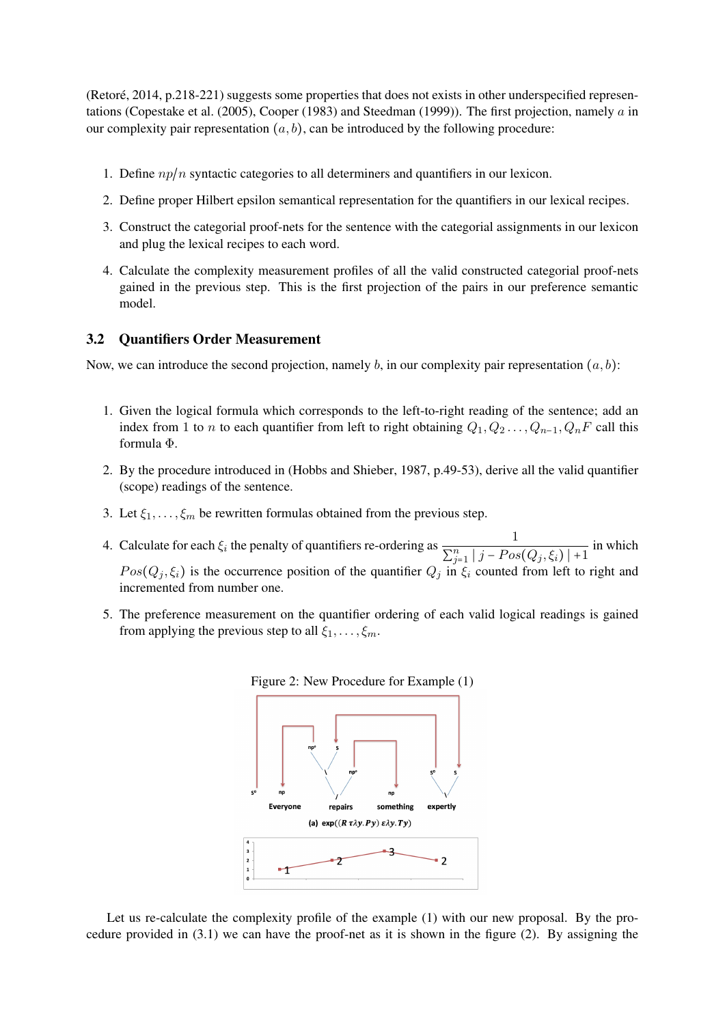(Retore, 2014, p.218-221) suggests some properties that does not exists in other underspecified represen- ´ tations (Copestake et al. (2005), Cooper (1983) and Steedman (1999)). The first projection, namely  $\alpha$  in our complexity pair representation  $(a, b)$ , can be introduced by the following procedure:

- 1. Define  $np/n$  syntactic categories to all determiners and quantifiers in our lexicon.
- 2. Define proper Hilbert epsilon semantical representation for the quantifiers in our lexical recipes.
- 3. Construct the categorial proof-nets for the sentence with the categorial assignments in our lexicon and plug the lexical recipes to each word.
- 4. Calculate the complexity measurement profiles of all the valid constructed categorial proof-nets gained in the previous step. This is the first projection of the pairs in our preference semantic model.

### 3.2 Quantifiers Order Measurement

Now, we can introduce the second projection, namely b, in our complexity pair representation  $(a, b)$ :

- 1. Given the logical formula which corresponds to the left-to-right reading of the sentence; add an index from 1 to *n* to each quantifier from left to right obtaining  $Q_1, Q_2, \ldots, Q_{n-1}, Q_nF$  call this formula Φ.
- 2. By the procedure introduced in (Hobbs and Shieber, 1987, p.49-53), derive all the valid quantifier (scope) readings of the sentence.
- 3. Let  $\xi_1, \ldots, \xi_m$  be rewritten formulas obtained from the previous step.
- 4. Calculate for each  $\xi_i$  the penalty of quantifiers re-ordering as  $\frac{1}{\sum_{i=1}^{n} \xi_i}$  $\frac{1}{\sum_{j=1}^{n} |j - Pos(Q_j, \xi_i)| + 1}$  in which  $Pos(Q_i, \xi_i)$  is the occurrence position of the quantifier  $Q_i$  in  $\xi_i$  counted from left to right and incremented from number one.
- 5. The preference measurement on the quantifier ordering of each valid logical readings is gained from applying the previous step to all  $\xi_1, \ldots, \xi_m$ .



Let us re-calculate the complexity profile of the example (1) with our new proposal. By the procedure provided in (3.1) we can have the proof-net as it is shown in the figure (2). By assigning the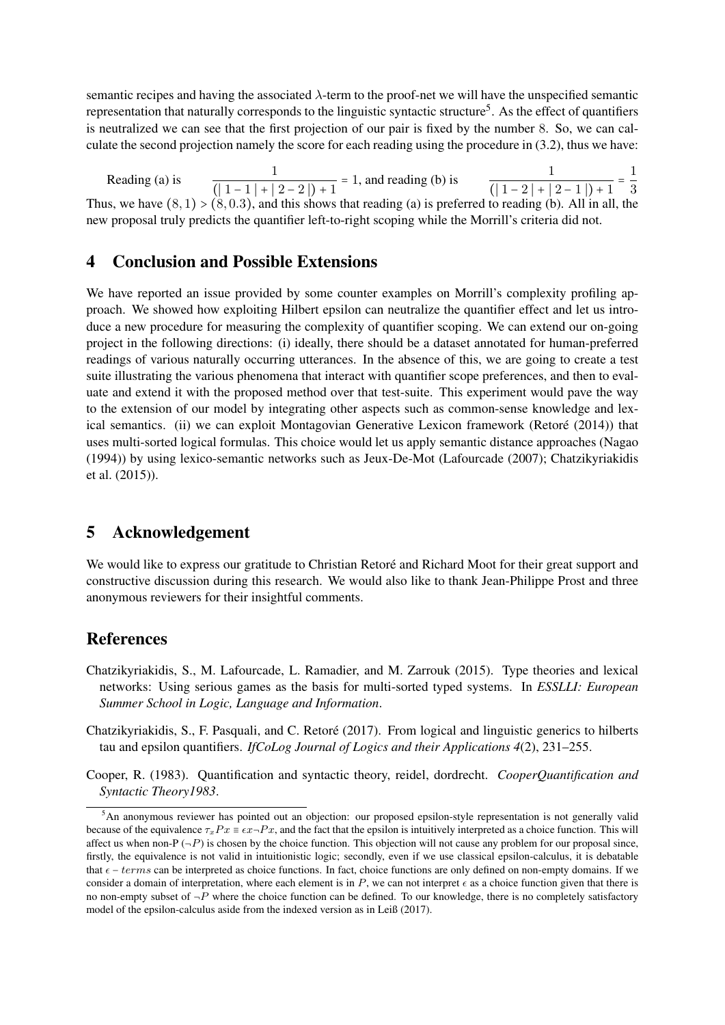semantic recipes and having the associated  $\lambda$ -term to the proof-net we will have the unspecified semantic representation that naturally corresponds to the linguistic syntactic structure<sup>5</sup>. As the effect of quantifiers is neutralized we can see that the first projection of our pair is fixed by the number 8. So, we can calculate the second projection namely the score for each reading using the procedure in (3.2), thus we have:

Reading (a) is  $\frac{1}{(11+1+1)}$  $\frac{1}{(|1-1|+|2-2|)+1}$  = 1, and reading (b) is  $\frac{1}{(|1-2|+|1|+1)}$  $\frac{1}{(|1-2|+|2-1|)+1}$ 1 3 Thus, we have  $(8, 1) > (8, 0.3)$ , and this shows that reading (a) is preferred to reading (b). All in all, the new proposal truly predicts the quantifier left-to-right scoping while the Morrill's criteria did not.

# 4 Conclusion and Possible Extensions

We have reported an issue provided by some counter examples on Morrill's complexity profiling approach. We showed how exploiting Hilbert epsilon can neutralize the quantifier effect and let us introduce a new procedure for measuring the complexity of quantifier scoping. We can extend our on-going project in the following directions: (i) ideally, there should be a dataset annotated for human-preferred readings of various naturally occurring utterances. In the absence of this, we are going to create a test suite illustrating the various phenomena that interact with quantifier scope preferences, and then to evaluate and extend it with the proposed method over that test-suite. This experiment would pave the way to the extension of our model by integrating other aspects such as common-sense knowledge and lexical semantics. (ii) we can exploit Montagovian Generative Lexicon framework (Retoré (2014)) that uses multi-sorted logical formulas. This choice would let us apply semantic distance approaches (Nagao (1994)) by using lexico-semantic networks such as Jeux-De-Mot (Lafourcade (2007); Chatzikyriakidis et al. (2015)).

# 5 Acknowledgement

We would like to express our gratitude to Christian Retoré and Richard Moot for their great support and constructive discussion during this research. We would also like to thank Jean-Philippe Prost and three anonymous reviewers for their insightful comments.

# References

- Chatzikyriakidis, S., M. Lafourcade, L. Ramadier, and M. Zarrouk (2015). Type theories and lexical networks: Using serious games as the basis for multi-sorted typed systems. In *ESSLLI: European Summer School in Logic, Language and Information*.
- Chatzikyriakidis, S., F. Pasquali, and C. Retore (2017). From logical and linguistic generics to hilberts ´ tau and epsilon quantifiers. *IfCoLog Journal of Logics and their Applications 4*(2), 231–255.
- Cooper, R. (1983). Quantification and syntactic theory, reidel, dordrecht. *CooperQuantification and Syntactic Theory1983*.

<sup>5</sup>An anonymous reviewer has pointed out an objection: our proposed epsilon-style representation is not generally valid because of the equivalence  $\tau_xPx \equiv \epsilon x \to Px$ , and the fact that the epsilon is intuitively interpreted as a choice function. This will affect us when non-P  $(-P)$  is chosen by the choice function. This objection will not cause any problem for our proposal since, firstly, the equivalence is not valid in intuitionistic logic; secondly, even if we use classical epsilon-calculus, it is debatable that  $\epsilon$  – terms can be interpreted as choice functions. In fact, choice functions are only defined on non-empty domains. If we consider a domain of interpretation, where each element is in  $P$ , we can not interpret  $\epsilon$  as a choice function given that there is no non-empty subset of  $\neg P$  where the choice function can be defined. To our knowledge, there is no completely satisfactory model of the epsilon-calculus aside from the indexed version as in Leiß (2017).